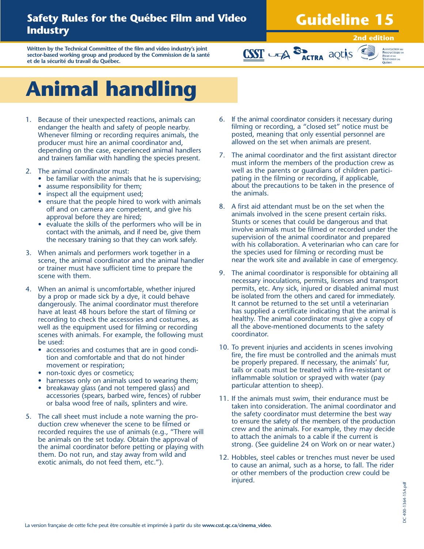### **Safety Rules for the Québec Film and Video Industry**

## **Guideline 15**

**Written by the Technical Committee of the film and video industry's joint sector-based working group and produced by the Commission de la santé et de la sécurité du travail du Québec.**

#### **2nd edition**



# **Animal handling**

- 1. Because of their unexpected reactions, animals can endanger the health and safety of people nearby. Whenever filming or recording requires animals, the producer must hire an animal coordinator and, depending on the case, experienced animal handlers and trainers familiar with handling the species present.
- 2. The animal coordinator must:
	- be familiar with the animals that he is supervising;
	- assume responsibility for them;
	- inspect all the equipment used;
	- ensure that the people hired to work with animals off and on camera are competent, and give his approval before they are hired;
	- evaluate the skills of the performers who will be in contact with the animals, and if need be, give them the necessary training so that they can work safely.
- 3. When animals and performers work together in a scene, the animal coordinator and the animal handler or trainer must have sufficient time to prepare the scene with them.
- 4. When an animal is uncomfortable, whether injured by a prop or made sick by a dye, it could behave dangerously. The animal coordinator must therefore have at least 48 hours before the start of filming or recording to check the accessories and costumes, as well as the equipment used for filming or recording scenes with animals. For example, the following must be used:
	- accessories and costumes that are in good condition and comfortable and that do not hinder movement or respiration;
	- non-toxic dyes or cosmetics;
	- harnesses only on animals used to wearing them;
	- breakaway glass (and not tempered glass) and accessories (spears, barbed wire, fences) of rubber or balsa wood free of nails, splinters and wire.
- 5. The call sheet must include a note warning the production crew whenever the scene to be filmed or recorded requires the use of animals (e.g., "There will be animals on the set today. Obtain the approval of the animal coordinator before petting or playing with them. Do not run, and stay away from wild and exotic animals, do not feed them, etc.").

6. If the animal coordinator considers it necessary during filming or recording, a "closed set" notice must be posted, meaning that only essential personnel are allowed on the set when animals are present.

**CSST** UPA **SPACTRA** aQUIS

- 7. The animal coordinator and the first assistant director must inform the members of the production crew as well as the parents or guardians of children participating in the filming or recording, if applicable, about the precautions to be taken in the presence of the animals.
- 8. A first aid attendant must be on the set when the animals involved in the scene present certain risks. Stunts or scenes that could be dangerous and that involve animals must be filmed or recorded under the supervision of the animal coordinator and prepared with his collaboration. A veterinarian who can care for the species used for filming or recording must be near the work site and available in case of emergency.
- 9. The animal coordinator is responsible for obtaining all necessary inoculations, permits, licenses and transport permits, etc. Any sick, injured or disabled animal must be isolated from the others and cared for immediately. It cannot be returned to the set until a veterinarian has supplied a certificate indicating that the animal is healthy. The animal coordinator must give a copy of all the above-mentioned documents to the safety coordinator.
- 10. To prevent injuries and accidents in scenes involving fire, the fire must be controlled and the animals must be properly prepared. If necessary, the animals' fur, tails or coats must be treated with a fire-resistant or inflammable solution or sprayed with water (pay particular attention to sheep).
- 11. If the animals must swim, their endurance must be taken into consideration. The animal coordinator and the safety coordinator must determine the best way to ensure the safety of the members of the production crew and the animals. For example, they may decide to attach the animals to a cable if the current is strong. (See guideline 24 on Work on or near water.)
- 12. Hobbles, steel cables or trenches must never be used to cause an animal, such as a horse, to fall. The rider or other members of the production crew could be injured.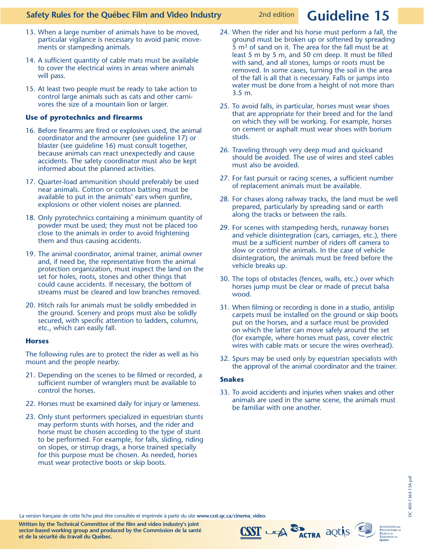#### **Safety Rules for the Québec Film and Video Industry**

- 13. When a large number of animals have to be moved, particular vigilance is necessary to avoid panic movements or stampeding animals.
- 14. A sufficient quantity of cable mats must be available to cover the electrical wires in areas where animals will pass.
- 15. At least two people must be ready to take action to control large animals such as cats and other carnivores the size of a mountain lion or larger.

#### **Use of pyrotechnics and firearms**

- 16. Before firearms are fired or explosives used, the animal coordinator and the armourer (see guideline 17) or blaster (see guideline 16) must consult together, because animals can react unexpectedly and cause accidents. The safety coordinator must also be kept informed about the planned activities.
- 17. Quarter-load ammunition should preferably be used near animals. Cotton or cotton batting must be available to put in the animals' ears when gunfire, explosions or other violent noises are planned.
- 18. Only pyrotechnics containing a minimum quantity of powder must be used; they must not be placed too close to the animals in order to avoid frightening them and thus causing accidents.
- 19. The animal coordinator, animal trainer, animal owner and, if need be, the representative from the animal protection organization, must inspect the land on the set for holes, roots, stones and other things that could cause accidents. If necessary, the bottom of streams must be cleared and low branches removed.
- 20. Hitch rails for animals must be solidly embedded in the ground. Scenery and props must also be solidly secured, with specific attention to ladders, columns, etc., which can easily fall.

#### **Horses**

The following rules are to protect the rider as well as his mount and the people nearby.

- 21. Depending on the scenes to be filmed or recorded, a sufficient number of wranglers must be available to control the horses.
- 22. Horses must be examined daily for injury or lameness.
- 23. Only stunt performers specialized in equestrian stunts may perform stunts with horses, and the rider and horse must be chosen according to the type of stunt to be performed. For example, for falls, sliding, riding on slopes, or stirrup drags, a horse trained specially for this purpose must be chosen. As needed, horses must wear protective boots or skip boots.
- 24. When the rider and his horse must perform a fall, the ground must be broken up or softened by spreading 5  $\mathrm{m}^3$  of sand on it. The area for the fall must be at least 5 m by 5 m, and 50 cm deep. It must be filled with sand, and all stones, lumps or roots must be removed. In some cases, turning the soil in the area of the fall is all that is necessary. Falls or jumps into water must be done from a height of not more than 3.5 m.
- 25. To avoid falls, in particular, horses must wear shoes that are appropriate for their breed and for the land on which they will be working. For example, horses on cement or asphalt must wear shoes with borium studs.
- 26. Traveling through very deep mud and quicksand should be avoided. The use of wires and steel cables must also be avoided.
- 27. For fast pursuit or racing scenes, a sufficient number of replacement animals must be available.
- 28. For chases along railway tracks, the land must be well prepared, particularly by spreading sand or earth along the tracks or between the rails.
- 29. For scenes with stampeding herds, runaway horses and vehicle disintegration (cars, carriages, etc.), there must be a sufficient number of riders off camera to slow or control the animals. In the case of vehicle disintegration, the animals must be freed before the vehicle breaks up.
- 30. The tops of obstacles (fences, walls, etc.) over which horses jump must be clear or made of precut balsa wood.
- 31. When filming or recording is done in a studio, antislip carpets must be installed on the ground or skip boots put on the horses, and a surface must be provided on which the latter can move safely around the set (for example, where horses must pass, cover electric wires with cable mats or secure the wires overhead).
- 32. Spurs may be used only by equestrian specialists with the approval of the animal coordinator and the trainer.

#### **Snakes**

33. To avoid accidents and injuries when snakes and other animals are used in the same scene, the animals must be familiar with one another.

etter<br>The version française de cette fiche peut être consultée et imprimée à partir du site **www.csst.qc.ca/cinema\_video**.<br>المصري المستخدمة المصري المستخدمة المصري المستخدمة المصري المستخدمة المصري المستخدمة المصري المستخ

**Written by the Technical Committee of the film and video industry's joint sector-based working group and produced by the Commission de la santé et de la sécurité du travail du Québec.**



# 2nd edition **Guideline 15**